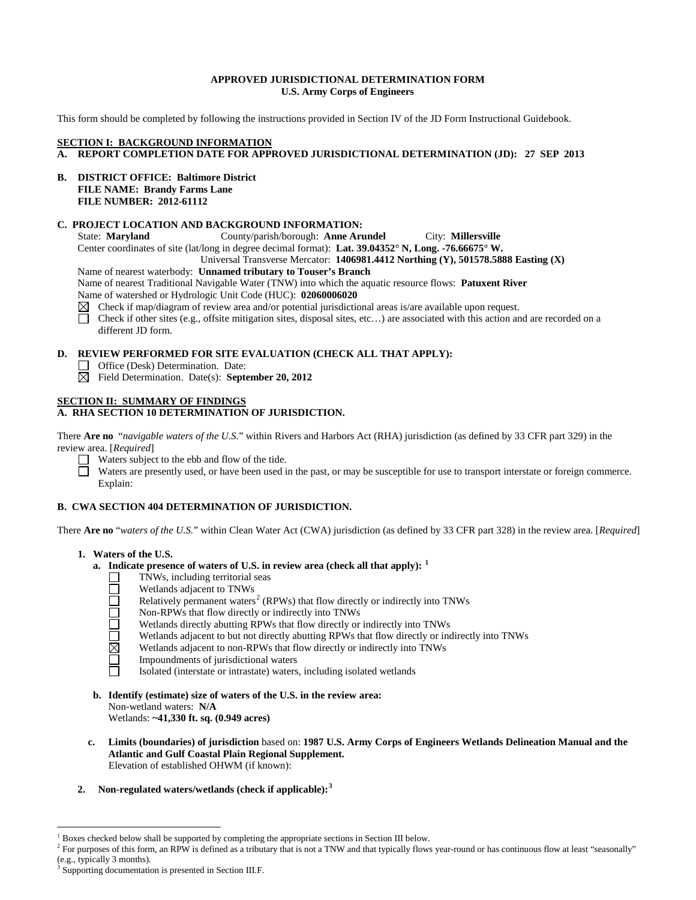## **APPROVED JURISDICTIONAL DETERMINATION FORM U.S. Army Corps of Engineers**

This form should be completed by following the instructions provided in Section IV of the JD Form Instructional Guidebook.

# **SECTION I: BACKGROUND INFORMATION**

- **A. REPORT COMPLETION DATE FOR APPROVED JURISDICTIONAL DETERMINATION (JD): 27 SEP 2013**
- **B. DISTRICT OFFICE: Baltimore District FILE NAME: Brandy Farms Lane FILE NUMBER: 2012-61112**

# **C. PROJECT LOCATION AND BACKGROUND INFORMATION:**

State: **Maryland** County/parish/borough: **Anne Arundel** City: **Millersville** Center coordinates of site (lat/long in degree decimal format): **Lat. 39.04352° N, Long. -76.66675° W.** 

Universal Transverse Mercator: **1406981.4412 Northing (Y), 501578.5888 Easting (X)**

Name of nearest waterbody: **Unnamed tributary to Touser's Branch**

Name of nearest Traditional Navigable Water (TNW) into which the aquatic resource flows: **Patuxent River** Name of watershed or Hydrologic Unit Code (HUC): **02060006020**

- $\boxtimes$  Check if map/diagram of review area and/or potential jurisdictional areas is/are available upon request.
- $\Box$ Check if other sites (e.g., offsite mitigation sites, disposal sites, etc…) are associated with this action and are recorded on a different JD form.

# **D. REVIEW PERFORMED FOR SITE EVALUATION (CHECK ALL THAT APPLY):**

- □ Office (Desk) Determination. Date:
- Field Determination. Date(s): **September 20, 2012**

# **SECTION II: SUMMARY OF FINDINGS**

# **A. RHA SECTION 10 DETERMINATION OF JURISDICTION.**

There **Are no** "*navigable waters of the U.S.*" within Rivers and Harbors Act (RHA) jurisdiction (as defined by 33 CFR part 329) in the review area. [*Required*]

Waters subject to the ebb and flow of the tide.

Waters are presently used, or have been used in the past, or may be susceptible for use to transport interstate or foreign commerce. Explain:

# **B. CWA SECTION 404 DETERMINATION OF JURISDICTION.**

There **Are no** "*waters of the U.S.*" within Clean Water Act (CWA) jurisdiction (as defined by 33 CFR part 328) in the review area. [*Required*]

# **1. Waters of the U.S.**

- **a. Indicate presence of waters of U.S. in review area (check all that apply): [1](#page-0-0)**
	- TNWs, including territorial seas  $\Box$
	- Wetlands adjacent to TNWs
	- Relatively permanent waters<sup>[2](#page-0-1)</sup> (RPWs) that flow directly or indirectly into TNWs
	- **OUDDISE** Non-RPWs that flow directly or indirectly into TNWs
		- Wetlands directly abutting RPWs that flow directly or indirectly into TNWs
		- Wetlands adjacent to but not directly abutting RPWs that flow directly or indirectly into TNWs
		- Wetlands adjacent to non-RPWs that flow directly or indirectly into TNWs
		- Impoundments of jurisdictional waters
		- Isolated (interstate or intrastate) waters, including isolated wetlands
- **b. Identify (estimate) size of waters of the U.S. in the review area:** Non-wetland waters: **N/A** Wetlands: **~41,330 ft. sq. (0.949 acres)**
- **c. Limits (boundaries) of jurisdiction** based on: **1987 U.S. Army Corps of Engineers Wetlands Delineation Manual and the Atlantic and Gulf Coastal Plain Regional Supplement.** Elevation of established OHWM (if known):
- **2. Non-regulated waters/wetlands (check if applicable): [3](#page-0-2)**

<span id="page-0-0"></span> <sup>1</sup> Boxes checked below shall be supported by completing the appropriate sections in Section III below.

<span id="page-0-1"></span><sup>&</sup>lt;sup>2</sup> For purposes of this form, an RPW is defined as a tributary that is not a TNW and that typically flows year-round or has continuous flow at least "seasonally" (e.g., typically 3 months).

<span id="page-0-2"></span>Supporting documentation is presented in Section III.F.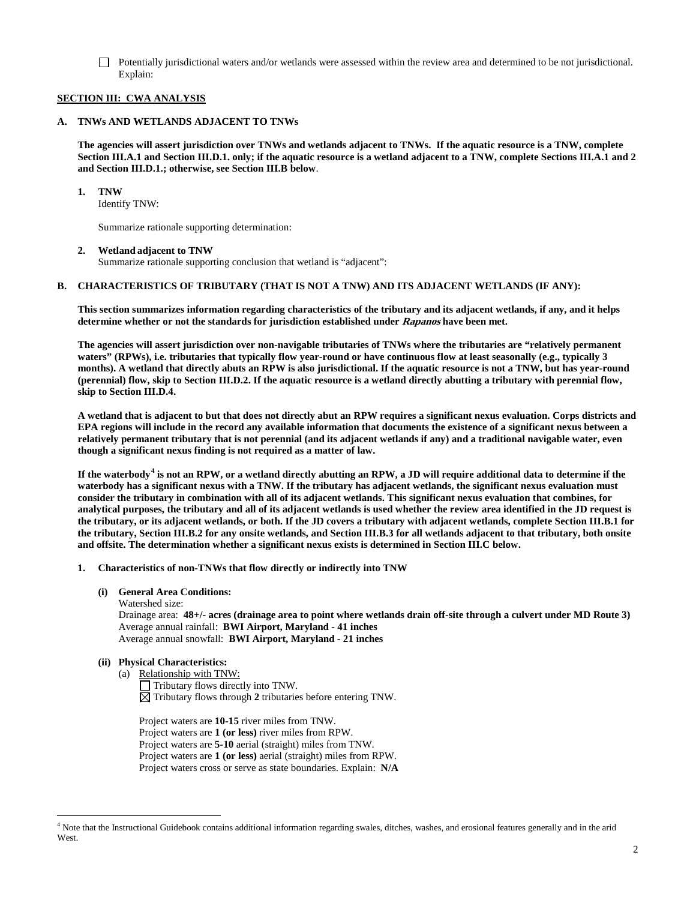Potentially jurisdictional waters and/or wetlands were assessed within the review area and determined to be not jurisdictional. Explain:

# **SECTION III: CWA ANALYSIS**

#### **A. TNWs AND WETLANDS ADJACENT TO TNWs**

**The agencies will assert jurisdiction over TNWs and wetlands adjacent to TNWs. If the aquatic resource is a TNW, complete Section III.A.1 and Section III.D.1. only; if the aquatic resource is a wetland adjacent to a TNW, complete Sections III.A.1 and 2 and Section III.D.1.; otherwise, see Section III.B below**.

**1. TNW** 

Identify TNW:

Summarize rationale supporting determination:

## **2. Wetland adjacent to TNW**

Summarize rationale supporting conclusion that wetland is "adjacent":

#### **B. CHARACTERISTICS OF TRIBUTARY (THAT IS NOT A TNW) AND ITS ADJACENT WETLANDS (IF ANY):**

**This section summarizes information regarding characteristics of the tributary and its adjacent wetlands, if any, and it helps determine whether or not the standards for jurisdiction established under Rapanos have been met.** 

**The agencies will assert jurisdiction over non-navigable tributaries of TNWs where the tributaries are "relatively permanent waters" (RPWs), i.e. tributaries that typically flow year-round or have continuous flow at least seasonally (e.g., typically 3 months). A wetland that directly abuts an RPW is also jurisdictional. If the aquatic resource is not a TNW, but has year-round (perennial) flow, skip to Section III.D.2. If the aquatic resource is a wetland directly abutting a tributary with perennial flow, skip to Section III.D.4.** 

**A wetland that is adjacent to but that does not directly abut an RPW requires a significant nexus evaluation. Corps districts and EPA regions will include in the record any available information that documents the existence of a significant nexus between a relatively permanent tributary that is not perennial (and its adjacent wetlands if any) and a traditional navigable water, even though a significant nexus finding is not required as a matter of law.**

**If the waterbody[4](#page-1-0) is not an RPW, or a wetland directly abutting an RPW, a JD will require additional data to determine if the waterbody has a significant nexus with a TNW. If the tributary has adjacent wetlands, the significant nexus evaluation must consider the tributary in combination with all of its adjacent wetlands. This significant nexus evaluation that combines, for analytical purposes, the tributary and all of its adjacent wetlands is used whether the review area identified in the JD request is the tributary, or its adjacent wetlands, or both. If the JD covers a tributary with adjacent wetlands, complete Section III.B.1 for the tributary, Section III.B.2 for any onsite wetlands, and Section III.B.3 for all wetlands adjacent to that tributary, both onsite and offsite. The determination whether a significant nexus exists is determined in Section III.C below.**

#### **1. Characteristics of non-TNWs that flow directly or indirectly into TNW**

- **(i) General Area Conditions:**
	- Watershed size:

Drainage area: **48+/- acres (drainage area to point where wetlands drain off-site through a culvert under MD Route 3)** Average annual rainfall: **BWI Airport, Maryland - 41 inches** Average annual snowfall: **BWI Airport, Maryland - 21 inches**

# **(ii) Physical Characteristics:**

- (a) Relationship with TNW:
	- Tributary flows directly into TNW.  $\boxtimes$  Tributary flows through 2 tributaries before entering TNW.

Project waters are **10-15** river miles from TNW. Project waters are **1 (or less)** river miles from RPW. Project waters are **5-10** aerial (straight) miles from TNW. Project waters are **1 (or less)** aerial (straight) miles from RPW. Project waters cross or serve as state boundaries. Explain: **N/A**

<span id="page-1-0"></span> <sup>4</sup> Note that the Instructional Guidebook contains additional information regarding swales, ditches, washes, and erosional features generally and in the arid West.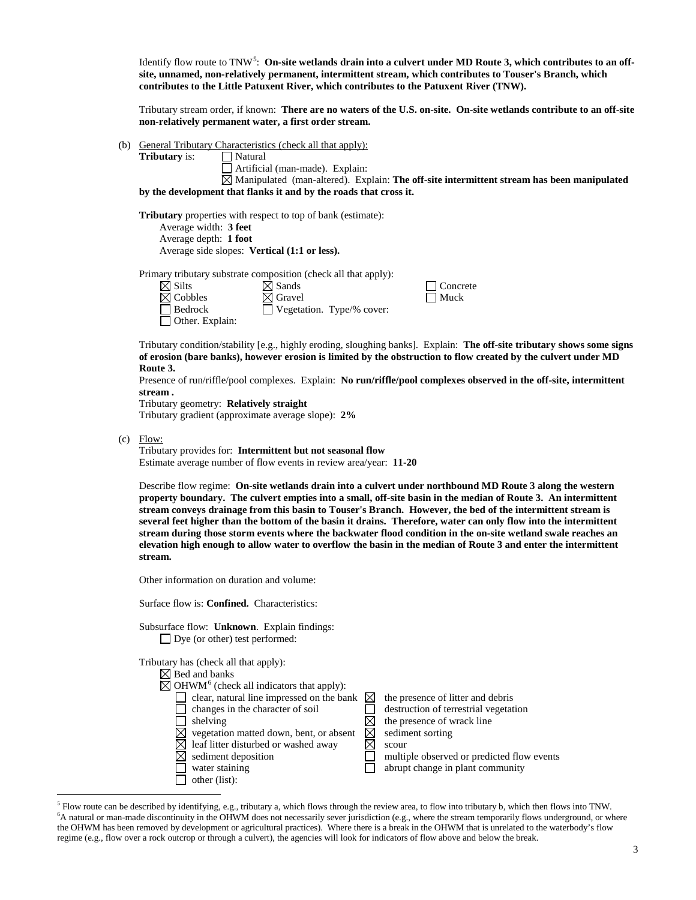Identify flow route to TNW<sup>[5](#page-2-0)</sup>: On-site wetlands drain into a culvert under MD Route 3, which contributes to an off**site, unnamed, non-relatively permanent, intermittent stream, which contributes to Touser's Branch, which contributes to the Little Patuxent River, which contributes to the Patuxent River (TNW).**

Tributary stream order, if known: **There are no waters of the U.S. on-site. On-site wetlands contribute to an off-site non-relatively permanent water, a first order stream.**

(b) General Tributary Characteristics (check all that apply): **Tributary** is:

■ Natural<br>■ Artificial (man-made). Explain:

 $\boxtimes$  Manipulated (man-altered). Explain: **The off-site intermittent stream has been manipulated by the development that flanks it and by the roads that cross it.**

**Tributary** properties with respect to top of bank (estimate): Average width: **3 feet** Average depth: **1 foot** Average side slopes: **Vertical (1:1 or less).**

Primary tributary substrate composition (check all that apply):

 $\boxtimes$  Silts  $\boxtimes$  Sands  $\Box$  Concrete  $\boxtimes$  Cobbles  $\Box$  Concrete  $\Box$  Concrete  $\boxtimes$  Cobbles  $\boxtimes$  Gravel<br>  $\Box$  Bedrock  $\Box$  Vegeta  $\Box$  Vegetation. Type/% cover: Other. Explain:

Tributary condition/stability [e.g., highly eroding, sloughing banks]. Explain: **The off-site tributary shows some signs of erosion (bare banks), however erosion is limited by the obstruction to flow created by the culvert under MD Route 3.**

Presence of run/riffle/pool complexes. Explain: **No run/riffle/pool complexes observed in the off-site, intermittent stream .**

Tributary geometry: **Relatively straight**

Tributary gradient (approximate average slope): **2%**

(c) Flow:

Tributary provides for: **Intermittent but not seasonal flow** Estimate average number of flow events in review area/year: **11-20**

Describe flow regime: **On-site wetlands drain into a culvert under northbound MD Route 3 along the western property boundary. The culvert empties into a small, off-site basin in the median of Route 3. An intermittent stream conveys drainage from this basin to Touser's Branch. However, the bed of the intermittent stream is several feet higher than the bottom of the basin it drains. Therefore, water can only flow into the intermittent stream during those storm events where the backwater flood condition in the on-site wetland swale reaches an elevation high enough to allow water to overflow the basin in the median of Route 3 and enter the intermittent stream.**

Other information on duration and volume:

Surface flow is: **Confined.** Characteristics:

Subsurface flow: **Unknown**. Explain findings: □ Dye (or other) test performed:

Tributary has (check all that apply):

| $\boxtimes$ Bed and banks                                        |                                            |
|------------------------------------------------------------------|--------------------------------------------|
| $\boxtimes$ OHWM <sup>6</sup> (check all indicators that apply): |                                            |
| clear, natural line impressed on the bank $\boxtimes$            | the presence of litter and debris          |
| changes in the character of soil                                 | destruction of terrestrial vegetation      |
| shelving                                                         | the presence of wrack line                 |
| vegetation matted down, bent, or absent                          | sediment sorting                           |
| leaf litter disturbed or washed away                             | scour                                      |
| sediment deposition                                              | multiple observed or predicted flow events |
| water staining                                                   | abrupt change in plant community           |
| other (list):                                                    |                                            |
|                                                                  |                                            |

<span id="page-2-1"></span><span id="page-2-0"></span> <sup>5</sup> Flow route can be described by identifying, e.g., tributary a, which flows through the review area, to flow into tributary b, which then flows into TNW. <sup>6</sup>A natural or man-made discontinuity in the OHWM does not necessarily sever jurisdiction (e.g., where the stream temporarily flows underground, or where the OHWM has been removed by development or agricultural practices). Where there is a break in the OHWM that is unrelated to the waterbody's flow regime (e.g., flow over a rock outcrop or through a culvert), the agencies will look for indicators of flow above and below the break.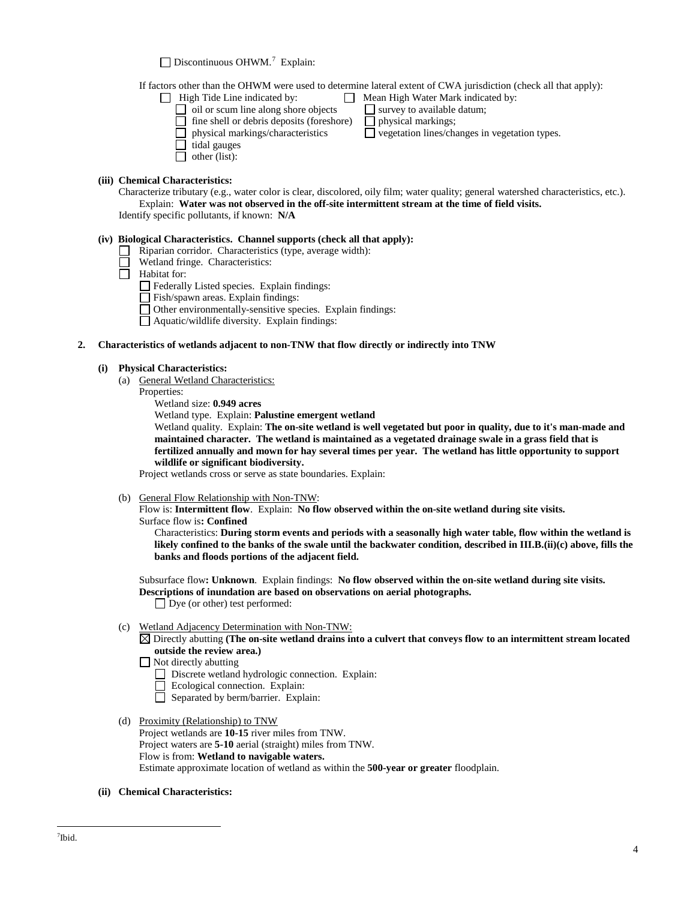Discontinuous OHWM.<sup>[7](#page-3-0)</sup> Explain:

If factors other than the OHWM were used to determine lateral extent of CWA jurisdiction (check all that apply):

 $\Box$  vegetation lines/changes in vegetation types.

- 
- High Tide Line indicated by: Mean High Water Mark indicated by: oil or scum line along shore objects  $\Box$  survey to available  $\Box$  fine shell or debris deposits (foreshore)  $\Box$  physical markings;
	- $\Box$  fine shell or debris deposits (foreshore)<br> $\Box$  physical markings/characteristics
	-
	- $\Box$  tidal gauges
	- $\Box$  other (list):

# **(iii) Chemical Characteristics:**

Characterize tributary (e.g., water color is clear, discolored, oily film; water quality; general watershed characteristics, etc.). Explain: **Water was not observed in the off-site intermittent stream at the time of field visits.**  Identify specific pollutants, if known: **N/A**

# **(iv) Biological Characteristics. Channel supports (check all that apply):**

- Riparian corridor. Characteristics (type, average width):
	- Wetland fringe. Characteristics:
- $\Box$ Habitat for:
	- Federally Listed species. Explain findings:
	- Fish/spawn areas. Explain findings:
	- Other environmentally-sensitive species. Explain findings:
	- $\Box$  Aquatic/wildlife diversity. Explain findings:

## **2. Characteristics of wetlands adjacent to non-TNW that flow directly or indirectly into TNW**

#### **(i) Physical Characteristics:**

- (a) General Wetland Characteristics:
	- Properties:
		- Wetland size: **0.949 acres**

Wetland type. Explain: **Palustine emergent wetland**

Wetland quality. Explain: **The on-site wetland is well vegetated but poor in quality, due to it's man-made and maintained character. The wetland is maintained as a vegetated drainage swale in a grass field that is fertilized annually and mown for hay several times per year. The wetland has little opportunity to support wildlife or significant biodiversity.**

Project wetlands cross or serve as state boundaries. Explain:

(b) General Flow Relationship with Non-TNW:

Flow is: **Intermittent flow**. Explain: **No flow observed within the on-site wetland during site visits.** Surface flow is**: Confined**

Characteristics: **During storm events and periods with a seasonally high water table, flow within the wetland is likely confined to the banks of the swale until the backwater condition, described in III.B.(ii)(c) above, fills the banks and floods portions of the adjacent field.**

Subsurface flow**: Unknown**. Explain findings: **No flow observed within the on-site wetland during site visits. Descriptions of inundation are based on observations on aerial photographs.** Dye (or other) test performed:

(c) Wetland Adjacency Determination with Non-TNW:

Directly abutting **(The on-site wetland drains into a culvert that conveys flow to an intermittent stream located outside the review area.)**

Not directly abutting

- Discrete wetland hydrologic connection. Explain:
- Ecological connection. Explain:
- Separated by berm/barrier. Explain:
- (d) Proximity (Relationship) to TNW Project wetlands are **10-15** river miles from TNW. Project waters are **5-10** aerial (straight) miles from TNW. Flow is from: **Wetland to navigable waters.** Estimate approximate location of wetland as within the **500-year or greater** floodplain.
- <span id="page-3-0"></span>**(ii) Chemical Characteristics:**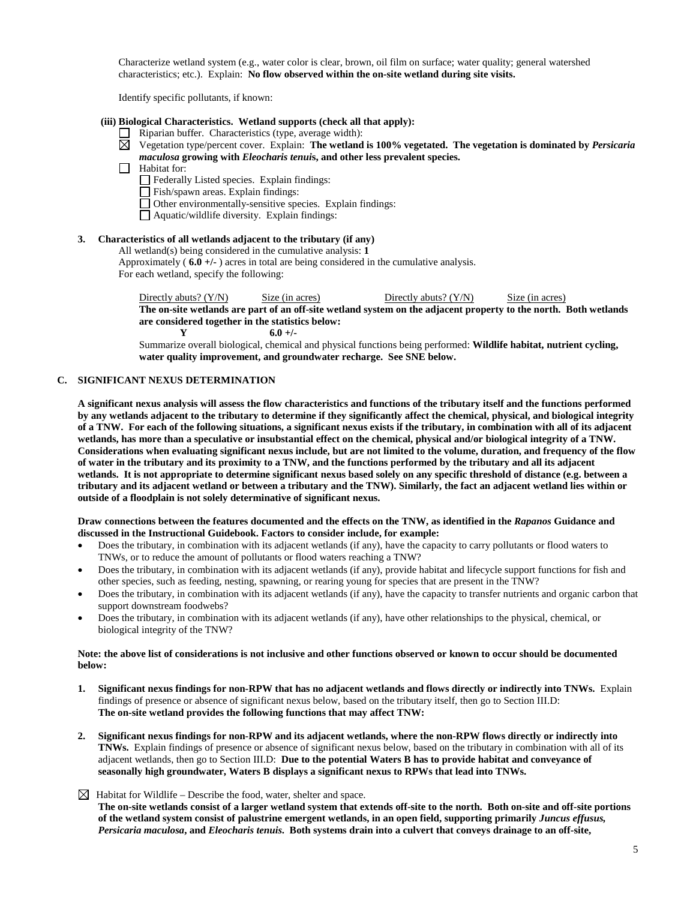Characterize wetland system (e.g., water color is clear, brown, oil film on surface; water quality; general watershed characteristics; etc.). Explain: **No flow observed within the on-site wetland during site visits.**

Identify specific pollutants, if known:

#### **(iii) Biological Characteristics. Wetland supports (check all that apply):**

- $\Box$  Riparian buffer. Characteristics (type, average width):
- Vegetation type/percent cover. Explain: **The wetland is 100% vegetated. The vegetation is dominated by** *Persicaria maculosa* **growing with** *Eleocharis tenui***s, and other less prevalent species.**
- $\Box$  Habitat for:
	- Federally Listed species. Explain findings:
	- Fish/spawn areas. Explain findings:
	- Other environmentally-sensitive species. Explain findings:
	- Aquatic/wildlife diversity. Explain findings:

## **3. Characteristics of all wetlands adjacent to the tributary (if any)**

All wetland(s) being considered in the cumulative analysis: **1** Approximately ( **6.0 +/-** ) acres in total are being considered in the cumulative analysis. For each wetland, specify the following:

Directly abuts? (Y/N) Size (in acres) Directly abuts? (Y/N) Size (in acres) **The on-site wetlands are part of an off-site wetland system on the adjacent property to the north. Both wetlands are considered together in the statistics below:**

**Y 6.0 +/-** Summarize overall biological, chemical and physical functions being performed: **Wildlife habitat, nutrient cycling, water quality improvement, and groundwater recharge. See SNE below.**

#### **C. SIGNIFICANT NEXUS DETERMINATION**

**A significant nexus analysis will assess the flow characteristics and functions of the tributary itself and the functions performed by any wetlands adjacent to the tributary to determine if they significantly affect the chemical, physical, and biological integrity of a TNW. For each of the following situations, a significant nexus exists if the tributary, in combination with all of its adjacent wetlands, has more than a speculative or insubstantial effect on the chemical, physical and/or biological integrity of a TNW. Considerations when evaluating significant nexus include, but are not limited to the volume, duration, and frequency of the flow of water in the tributary and its proximity to a TNW, and the functions performed by the tributary and all its adjacent wetlands. It is not appropriate to determine significant nexus based solely on any specific threshold of distance (e.g. between a tributary and its adjacent wetland or between a tributary and the TNW). Similarly, the fact an adjacent wetland lies within or outside of a floodplain is not solely determinative of significant nexus.** 

#### **Draw connections between the features documented and the effects on the TNW, as identified in the** *Rapanos* **Guidance and discussed in the Instructional Guidebook. Factors to consider include, for example:**

- Does the tributary, in combination with its adjacent wetlands (if any), have the capacity to carry pollutants or flood waters to TNWs, or to reduce the amount of pollutants or flood waters reaching a TNW?
- Does the tributary, in combination with its adjacent wetlands (if any), provide habitat and lifecycle support functions for fish and other species, such as feeding, nesting, spawning, or rearing young for species that are present in the TNW?
- Does the tributary, in combination with its adjacent wetlands (if any), have the capacity to transfer nutrients and organic carbon that support downstream foodwebs?
- Does the tributary, in combination with its adjacent wetlands (if any), have other relationships to the physical, chemical, or biological integrity of the TNW?

#### **Note: the above list of considerations is not inclusive and other functions observed or known to occur should be documented below:**

- **1. Significant nexus findings for non-RPW that has no adjacent wetlands and flows directly or indirectly into TNWs.** Explain findings of presence or absence of significant nexus below, based on the tributary itself, then go to Section III.D: **The on-site wetland provides the following functions that may affect TNW:**
- **2. Significant nexus findings for non-RPW and its adjacent wetlands, where the non-RPW flows directly or indirectly into TNWs.** Explain findings of presence or absence of significant nexus below, based on the tributary in combination with all of its adjacent wetlands, then go to Section III.D: **Due to the potential Waters B has to provide habitat and conveyance of seasonally high groundwater, Waters B displays a significant nexus to RPWs that lead into TNWs.**
- $\boxtimes$  Habitat for Wildlife Describe the food, water, shelter and space.

**The on-site wetlands consist of a larger wetland system that extends off-site to the north. Both on-site and off-site portions of the wetland system consist of palustrine emergent wetlands, in an open field, supporting primarily** *Juncus effusus, Persicaria maculosa***, and** *Eleocharis tenuis***. Both systems drain into a culvert that conveys drainage to an off-site,**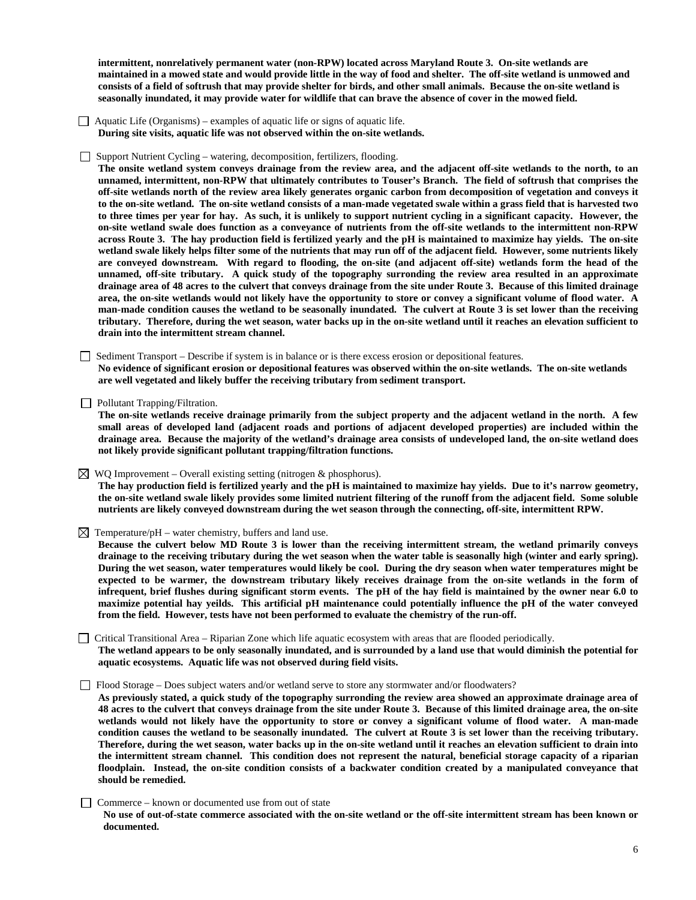**intermittent, nonrelatively permanent water (non-RPW) located across Maryland Route 3. On-site wetlands are maintained in a mowed state and would provide little in the way of food and shelter. The off-site wetland is unmowed and consists of a field of softrush that may provide shelter for birds, and other small animals. Because the on-site wetland is seasonally inundated, it may provide water for wildlife that can brave the absence of cover in the mowed field.**

- $\Box$  Aquatic Life (Organisms) examples of aquatic life or signs of aquatic life. **During site visits, aquatic life was not observed within the on-site wetlands.**
- Support Nutrient Cycling watering, decomposition, fertilizers, flooding.

**The onsite wetland system conveys drainage from the review area, and the adjacent off-site wetlands to the north, to an unnamed, intermittent, non-RPW that ultimately contributes to Touser's Branch. The field of softrush that comprises the off-site wetlands north of the review area likely generates organic carbon from decomposition of vegetation and conveys it to the on-site wetland. The on-site wetland consists of a man-made vegetated swale within a grass field that is harvested two to three times per year for hay. As such, it is unlikely to support nutrient cycling in a significant capacity. However, the on-site wetland swale does function as a conveyance of nutrients from the off-site wetlands to the intermittent non-RPW across Route 3. The hay production field is fertilized yearly and the pH is maintained to maximize hay yields. The on-site wetland swale likely helps filter some of the nutrients that may run off of the adjacent field. However, some nutrients likely are conveyed downstream. With regard to flooding, the on-site (and adjacent off-site) wetlands form the head of the unnamed, off-site tributary. A quick study of the topography surronding the review area resulted in an approximate drainage area of 48 acres to the culvert that conveys drainage from the site under Route 3. Because of this limited drainage area, the on-site wetlands would not likely have the opportunity to store or convey a significant volume of flood water. A man-made condition causes the wetland to be seasonally inundated. The culvert at Route 3 is set lower than the receiving tributary. Therefore, during the wet season, water backs up in the on-site wetland until it reaches an elevation sufficient to drain into the intermittent stream channel.**

 Sediment Transport – Describe if system is in balance or is there excess erosion or depositional features. **No evidence of significant erosion or depositional features was observed within the on-site wetlands. The on-site wetlands are well vegetated and likely buffer the receiving tributary from sediment transport.** 

 $\Box$  Pollutant Trapping/Filtration.

**The on-site wetlands receive drainage primarily from the subject property and the adjacent wetland in the north. A few small areas of developed land (adjacent roads and portions of adjacent developed properties) are included within the drainage area. Because the majority of the wetland's drainage area consists of undeveloped land, the on-site wetland does not likely provide significant pollutant trapping/filtration functions.** 

 $\boxtimes$  WQ Improvement – Overall existing setting (nitrogen & phosphorus).

**The hay production field is fertilized yearly and the pH is maintained to maximize hay yields. Due to it's narrow geometry, the on-site wetland swale likely provides some limited nutrient filtering of the runoff from the adjacent field. Some soluble nutrients are likely conveyed downstream during the wet season through the connecting, off-site, intermittent RPW.**

 $\boxtimes$  Temperature/pH – water chemistry, buffers and land use.

**Because the culvert below MD Route 3 is lower than the receiving intermittent stream, the wetland primarily conveys drainage to the receiving tributary during the wet season when the water table is seasonally high (winter and early spring). During the wet season, water temperatures would likely be cool. During the dry season when water temperatures might be expected to be warmer, the downstream tributary likely receives drainage from the on-site wetlands in the form of infrequent, brief flushes during significant storm events. The pH of the hay field is maintained by the owner near 6.0 to maximize potential hay yeilds. This artificial pH maintenance could potentially influence the pH of the water conveyed from the field. However, tests have not been performed to evaluate the chemistry of the run-off.**

 Critical Transitional Area – Riparian Zone which life aquatic ecosystem with areas that are flooded periodically. **The wetland appears to be only seasonally inundated, and is surrounded by a land use that would diminish the potential for aquatic ecosystems. Aquatic life was not observed during field visits.**

Flood Storage – Does subject waters and/or wetland serve to store any stormwater and/or floodwaters?

**As previously stated, a quick study of the topography surronding the review area showed an approximate drainage area of 48 acres to the culvert that conveys drainage from the site under Route 3. Because of this limited drainage area, the on-site wetlands would not likely have the opportunity to store or convey a significant volume of flood water. A man-made condition causes the wetland to be seasonally inundated. The culvert at Route 3 is set lower than the receiving tributary. Therefore, during the wet season, water backs up in the on-site wetland until it reaches an elevation sufficient to drain into the intermittent stream channel. This condition does not represent the natural, beneficial storage capacity of a riparian floodplain. Instead, the on-site condition consists of a backwater condition created by a manipulated conveyance that should be remedied.**

Commerce – known or documented use from out of state

**No use of out-of-state commerce associated with the on-site wetland or the off-site intermittent stream has been known or documented.**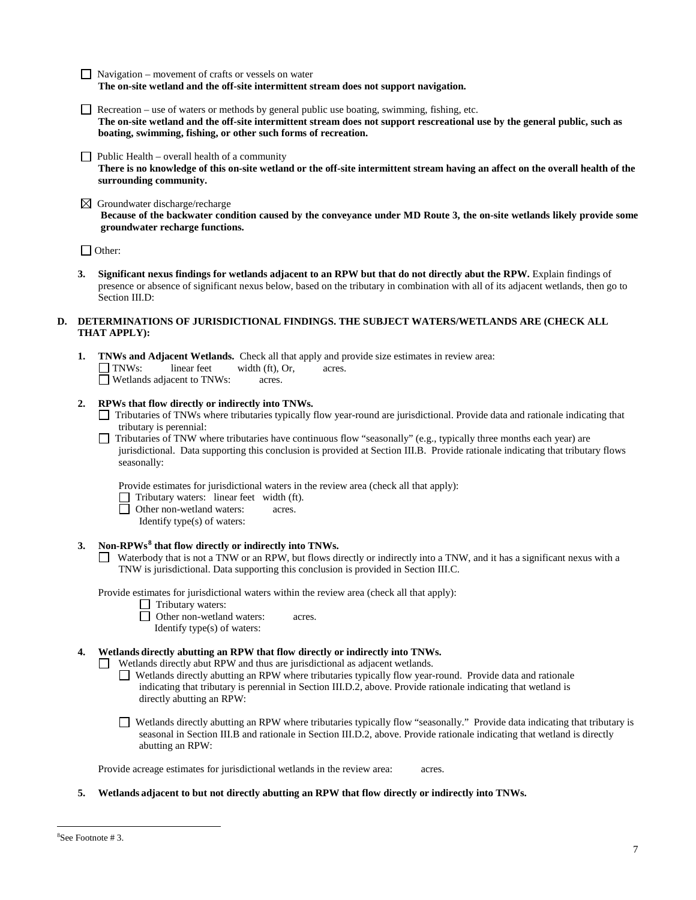- $\Box$  Navigation movement of crafts or vessels on water **The on-site wetland and the off-site intermittent stream does not support navigation.**
- Recreation use of waters or methods by general public use boating, swimming, fishing, etc. **The on-site wetland and the off-site intermittent stream does not support rescreational use by the general public, such as boating, swimming, fishing, or other such forms of recreation.**
- $\Box$  Public Health overall health of a community **There is no knowledge of this on-site wetland or the off-site intermittent stream having an affect on the overall health of the surrounding community.**
- $\boxtimes$  Groundwater discharge/recharge **Because of the backwater condition caused by the conveyance under MD Route 3, the on-site wetlands likely provide some groundwater recharge functions.**

□ Other:

**3. Significant nexus findings for wetlands adjacent to an RPW but that do not directly abut the RPW.** Explain findings of presence or absence of significant nexus below, based on the tributary in combination with all of its adjacent wetlands, then go to Section III.D:

## **D. DETERMINATIONS OF JURISDICTIONAL FINDINGS. THE SUBJECT WATERS/WETLANDS ARE (CHECK ALL THAT APPLY):**

**1. TNWs and Adjacent Wetlands.** Check all that apply and provide size estimates in review area:  $\Box$  **TNWs:** linear feet width (ft), Or, acres.  $width (ft), Or, a *cores.*$ □ Wetlands adjacent to TNWs: acres.

# **2. RPWs that flow directly or indirectly into TNWs.**

- Tributaries of TNWs where tributaries typically flow year-round are jurisdictional. Provide data and rationale indicating that tributary is perennial:
- Tributaries of TNW where tributaries have continuous flow "seasonally" (e.g., typically three months each year) are jurisdictional. Data supporting this conclusion is provided at Section III.B. Provide rationale indicating that tributary flows seasonally:

Provide estimates for jurisdictional waters in the review area (check all that apply):

- □ Tributary waters: linear feet width (ft).<br>□ Other non-wetland waters: acres.
- Other non-wetland waters: acres.
	- Identify type(s) of waters:

# **3. Non-RPWs[8](#page-6-0) that flow directly or indirectly into TNWs.**

Waterbody that is not a TNW or an RPW, but flows directly or indirectly into a TNW, and it has a significant nexus with a TNW is jurisdictional. Data supporting this conclusion is provided in Section III.C.

Provide estimates for jurisdictional waters within the review area (check all that apply):

**1** Tributary waters:

□ Other non-wetland waters: acres. Identify type(s) of waters:

# **4. Wetlands directly abutting an RPW that flow directly or indirectly into TNWs.**

Wetlands directly abut RPW and thus are jurisdictional as adjacent wetlands.

- Wetlands directly abutting an RPW where tributaries typically flow year-round. Provide data and rationale indicating that tributary is perennial in Section III.D.2, above. Provide rationale indicating that wetland is directly abutting an RPW:
- Wetlands directly abutting an RPW where tributaries typically flow "seasonally." Provide data indicating that tributary is seasonal in Section III.B and rationale in Section III.D.2, above. Provide rationale indicating that wetland is directly abutting an RPW:

Provide acreage estimates for jurisdictional wetlands in the review area: acres.

**5. Wetlands adjacent to but not directly abutting an RPW that flow directly or indirectly into TNWs.**

<span id="page-6-0"></span> <sup>8</sup> See Footnote # 3.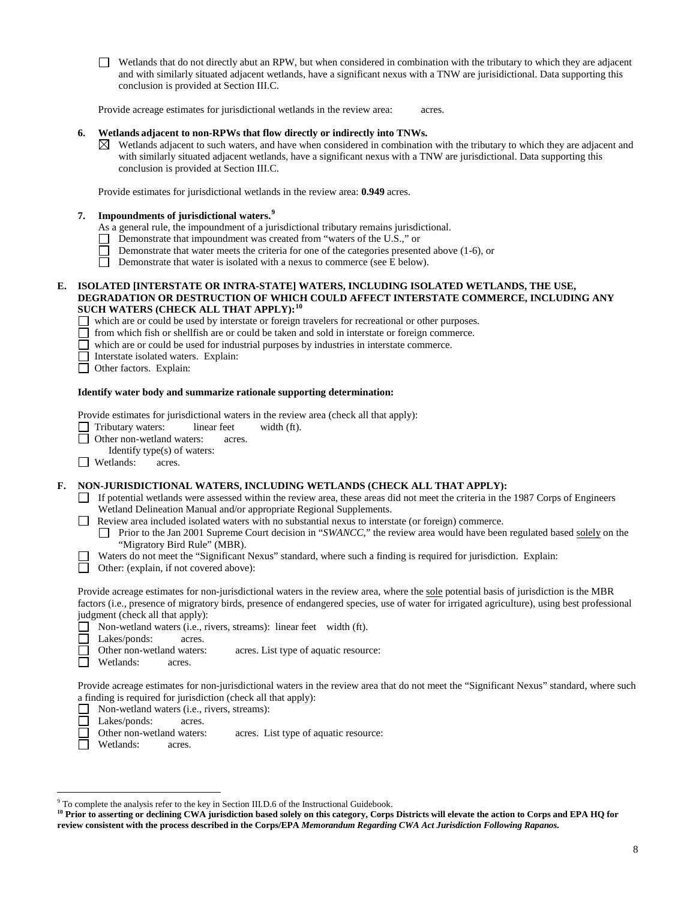Wetlands that do not directly abut an RPW, but when considered in combination with the tributary to which they are adjacent and with similarly situated adjacent wetlands, have a significant nexus with a TNW are jurisidictional. Data supporting this conclusion is provided at Section III.C.

Provide acreage estimates for jurisdictional wetlands in the review area: acres.

#### **6. Wetlands adjacent to non-RPWs that flow directly or indirectly into TNWs.**

Wetlands adjacent to such waters, and have when considered in combination with the tributary to which they are adjacent and  $\bowtie$ with similarly situated adjacent wetlands, have a significant nexus with a TNW are jurisdictional. Data supporting this conclusion is provided at Section III.C.

Provide estimates for jurisdictional wetlands in the review area: **0.949** acres.

## **7. Impoundments of jurisdictional waters. [9](#page-7-0)**

As a general rule, the impoundment of a jurisdictional tributary remains jurisdictional.

- Demonstrate that impoundment was created from "waters of the U.S.," or
- П Demonstrate that water meets the criteria for one of the categories presented above (1-6), or
- $\Box$ Demonstrate that water is isolated with a nexus to commerce (see E below).

#### **E. ISOLATED [INTERSTATE OR INTRA-STATE] WATERS, INCLUDING ISOLATED WETLANDS, THE USE, DEGRADATION OR DESTRUCTION OF WHICH COULD AFFECT INTERSTATE COMMERCE, INCLUDING ANY SUCH WATERS (CHECK ALL THAT APPLY):[10](#page-7-1)**

which are or could be used by interstate or foreign travelers for recreational or other purposes.

- П from which fish or shellfish are or could be taken and sold in interstate or foreign commerce.
- $\Box$ which are or could be used for industrial purposes by industries in interstate commerce.
- Interstate isolated waters.Explain:
- Other factors.Explain:

#### **Identify water body and summarize rationale supporting determination:**

Provide estimates for jurisdictional waters in the review area (check all that apply):

- □ Tributary waters: linear feet width (ft).
- **D** Other non-wetland waters: acres.
- Identify type(s) of waters:
- $\Box$  Wetlands: acres.

#### **F. NON-JURISDICTIONAL WATERS, INCLUDING WETLANDS (CHECK ALL THAT APPLY):**

- If potential wetlands were assessed within the review area, these areas did not meet the criteria in the 1987 Corps of Engineers Wetland Delineation Manual and/or appropriate Regional Supplements.
- Review area included isolated waters with no substantial nexus to interstate (or foreign) commerce.
	- Prior to the Jan 2001 Supreme Court decision in "*SWANCC*," the review area would have been regulated based solely on the "Migratory Bird Rule" (MBR).
- Waters do not meet the "Significant Nexus" standard, where such a finding is required for jurisdiction. Explain:  $\Box$ 
	- Other: (explain, if not covered above):

Provide acreage estimates for non-jurisdictional waters in the review area, where the sole potential basis of jurisdiction is the MBR factors (i.e., presence of migratory birds, presence of endangered species, use of water for irrigated agriculture), using best professional judgment (check all that apply):

- Non-wetland waters (i.e., rivers, streams): linear feetwidth (ft).
- П Lakes/ponds: acres.
- Other non-wetland waters: acres. List type of aquatic resource:
- Wetlands: acres. П

Provide acreage estimates for non-jurisdictional waters in the review area that do not meet the "Significant Nexus" standard, where such a finding is required for jurisdiction (check all that apply):

- Non-wetland waters (i.e., rivers, streams): □
- $\Box$ Lakes/ponds: acres.
- $\overline{\phantom{a}}$ Other non-wetland waters: acres. List type of aquatic resource:
- П Wetlands: acres.

<span id="page-7-0"></span> <sup>9</sup> To complete the analysis refer to the key in Section III.D.6 of the Instructional Guidebook.

<span id="page-7-1"></span><sup>&</sup>lt;sup>10</sup> Prior to asserting or declining CWA jurisdiction based solely on this category, Corps Districts will elevate the action to Corps and EPA HQ for **review consistent with the process described in the Corps/EPA** *Memorandum Regarding CWA Act Jurisdiction Following Rapanos.*